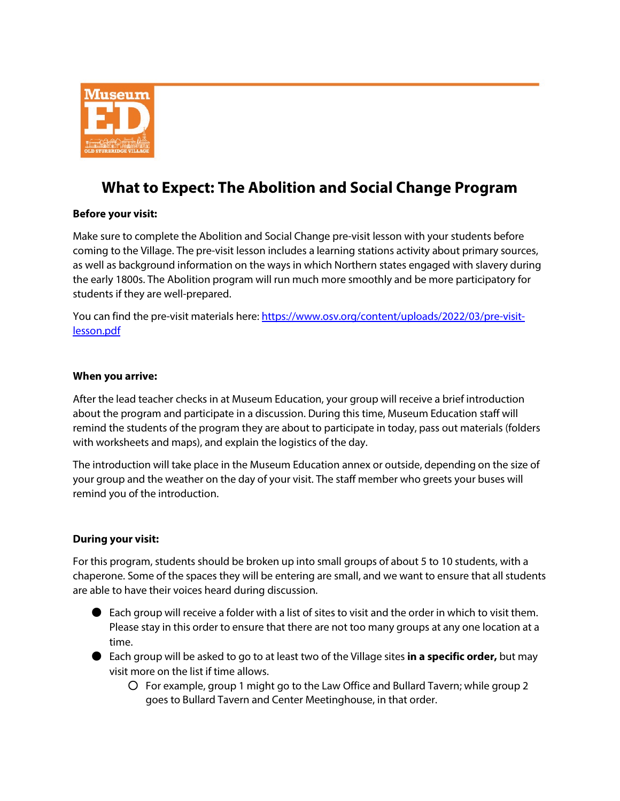

# **What to Expect: The Abolition and Social Change Program**

## **Before your visit:**

Make sure to complete the Abolition and Social Change pre-visit lesson with your students before coming to the Village. The pre-visit lesson includes a learning stations activity about primary sources, as well as background information on the ways in which Northern states engaged with slavery during the early 1800s. The Abolition program will run much more smoothly and be more participatory for students if they are well-prepared.

You can find the pre-visit materials here[: https://www.osv.org/content/uploads/2022/03/pre-visit](https://www.osv.org/content/uploads/2022/03/pre-visit-lesson.pdf)[lesson.pdf](https://www.osv.org/content/uploads/2022/03/pre-visit-lesson.pdf)

### **When you arrive:**

After the lead teacher checks in at Museum Education, your group will receive a brief introduction about the program and participate in a discussion. During this time, Museum Education staff will remind the students of the program they are about to participate in today, pass out materials (folders with worksheets and maps), and explain the logistics of the day.

The introduction will take place in the Museum Education annex or outside, depending on the size of your group and the weather on the day of your visit. The staff member who greets your buses will remind you of the introduction.

## **During your visit:**

For this program, students should be broken up into small groups of about 5 to 10 students, with a chaperone. Some of the spaces they will be entering are small, and we want to ensure that all students are able to have their voices heard during discussion.

- $\bullet$  Each group will receive a folder with a list of sites to visit and the order in which to visit them. Please stay in this order to ensure that there are not too many groups at any one location at a time.
- Each group will be asked to go to at least two of the Village sites **in a specific order,** but may visit more on the list if time allows.
	- For example, group 1 might go to the Law Office and Bullard Tavern; while group 2 goes to Bullard Tavern and Center Meetinghouse, in that order.